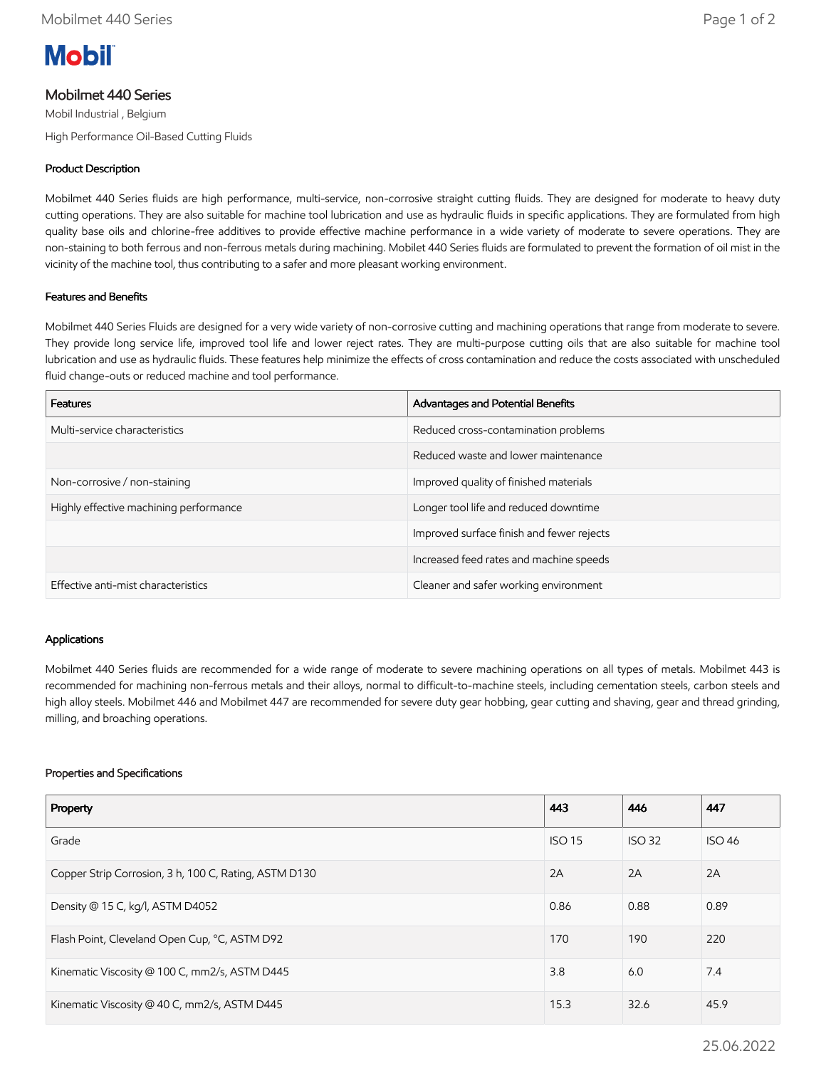

# Mobilmet 440 Series

Mobil Industrial , Belgium High Performance Oil-Based Cutting Fluids

## Product Description

Mobilmet 440 Series fluids are high performance, multi-service, non-corrosive straight cutting fluids. They are designed for moderate to heavy duty cutting operations. They are also suitable for machine tool lubrication and use as hydraulic fluids in specific applications. They are formulated from high quality base oils and chlorine-free additives to provide effective machine performance in a wide variety of moderate to severe operations. They are non-staining to both ferrous and non-ferrous metals during machining. Mobilet 440 Series fluids are formulated to prevent the formation of oil mist in the vicinity of the machine tool, thus contributing to a safer and more pleasant working environment.

### Features and Benefits

Mobilmet 440 Series Fluids are designed for a very wide variety of non-corrosive cutting and machining operations that range from moderate to severe. They provide long service life, improved tool life and lower reject rates. They are multi-purpose cutting oils that are also suitable for machine tool lubrication and use as hydraulic fluids. These features help minimize the effects of cross contamination and reduce the costs associated with unscheduled fluid change-outs or reduced machine and tool performance.

| <b>Features</b>                        | Advantages and Potential Benefits         |
|----------------------------------------|-------------------------------------------|
| Multi-service characteristics          | Reduced cross-contamination problems      |
|                                        | Reduced waste and lower maintenance       |
| Non-corrosive / non-staining           | Improved quality of finished materials    |
| Highly effective machining performance | Longer tool life and reduced downtime     |
|                                        | Improved surface finish and fewer rejects |
|                                        | Increased feed rates and machine speeds   |
| Effective anti-mist characteristics    | Cleaner and safer working environment     |

#### Applications

Mobilmet 440 Series fluids are recommended for a wide range of moderate to severe machining operations on all types of metals. Mobilmet 443 is recommended for machining non-ferrous metals and their alloys, normal to difficult-to-machine steels, including cementation steels, carbon steels and high alloy steels. Mobilmet 446 and Mobilmet 447 are recommended for severe duty gear hobbing, gear cutting and shaving, gear and thread grinding, milling, and broaching operations.

#### Properties and Specifications

| Property                                              | 443           | 446           | 447           |
|-------------------------------------------------------|---------------|---------------|---------------|
| Grade                                                 | <b>ISO 15</b> | <b>ISO 32</b> | <b>ISO 46</b> |
| Copper Strip Corrosion, 3 h, 100 C, Rating, ASTM D130 | 2A            | 2A            | 2A            |
| Density @ 15 C, kg/l, ASTM D4052                      | 0.86          | 0.88          | 0.89          |
| Flash Point, Cleveland Open Cup, °C, ASTM D92         | 170           | 190           | 220           |
| Kinematic Viscosity @ 100 C, mm2/s, ASTM D445         | 3.8           | 6.0           | 7.4           |
| Kinematic Viscosity @ 40 C, mm2/s, ASTM D445          | 15.3          | 32.6          | 45.9          |